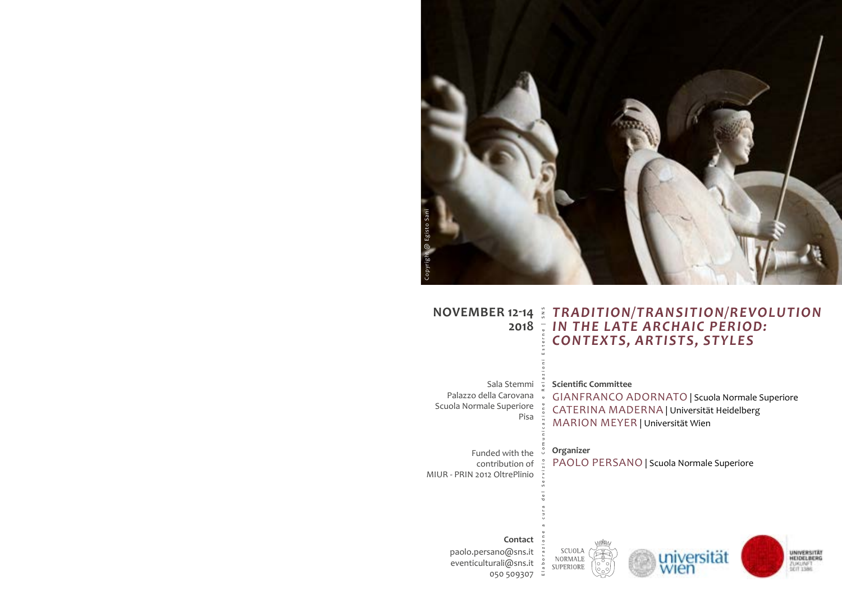

# **NOVEMBER 12-14** *TRADITION/TRANSITION/REVOLUTION*  **2018** *IN THE LATE ARCHAIC PERIOD:*  Elaborazione a cura del Servizio Comunicazione e Relazioni Esterne | SNS *CONTEXTS, ARTISTS, STYLES*

Sala Stemmi Palazzo della Carovana Scuola Normale Superiore Pisa

**Scientific Committee** 

GIANFRANCO ADORNATO | Scuola Normale Superiore CATERINA MADERNA | Universität Heidelberg MARION MEYER | Universität Wien

universität

**UNIVERSITÄT** 

1.001.050

**Organizer** 

PAOLO PERSANO | Scuola Normale Superiore

Funded with the contribution of MIUR - PRIN 2012 OltrePlinio



paolo.persano@sns.it eventiculturali@sns.it 050 509307

 $\alpha$